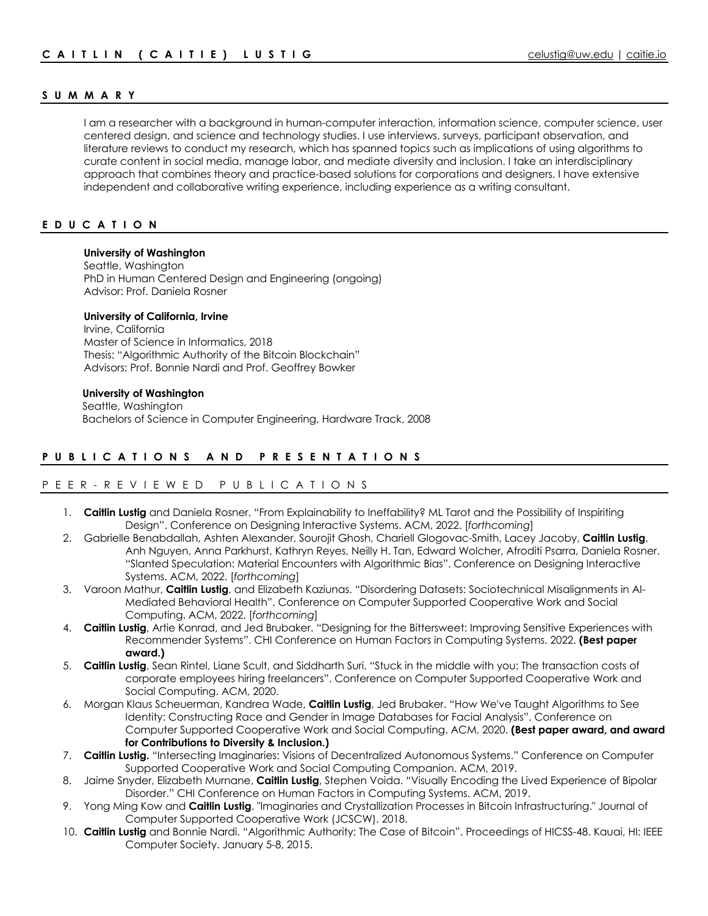# **SUMMAR Y**

I am a researcher with a background in human-computer interaction, information science, computer science, user centered design, and science and technology studies. I use interviews, surveys, participant observation, and literature reviews to conduct my research, which has spanned topics such as implications of using algorithms to curate content in social media, manage labor, and mediate diversity and inclusion. I take an interdisciplinary approach that combines theory and practice-based solutions for corporations and designers. I have extensive independent and collaborative writing experience, including experience as a writing consultant.

# **EDUCATION**

### **University of Washington**

Seattle, Washington PhD in Human Centered Design and Engineering (ongoing) Advisor: Prof. Daniela Rosner

### **University of California, Irvine**

Irvine, California Master of Science in Informatics, 2018 Thesis: "Algorithmic Authority of the Bitcoin Blockchain" Advisors: Prof. Bonnie Nardi and Prof. Geoffrey Bowker

### **University of Washington**

 Seattle, Washington Bachelors of Science in Computer Engineering, Hardware Track, 2008

# **PUBLICATIONS AND PRESENTATIONS**

# PEER - REVIEWED PUBLICATIONS

- 1. **Caitlin Lustig** and Daniela Rosner. "From Explainability to Ineffability? ML Tarot and the Possibility of Inspiriting Design". Conference on Designing Interactive Systems. ACM, 2022. [*forthcoming*]
- 2. Gabrielle Benabdallah, Ashten Alexander, Sourojit Ghosh, Chariell Glogovac-Smith, Lacey Jacoby, **Caitlin Lustig**, Anh Nguyen, Anna Parkhurst, Kathryn Reyes, Neilly H. Tan, Edward Wolcher, Afroditi Psarra, Daniela Rosner. "Slanted Speculation: Material Encounters with Algorithmic Bias". Conference on Designing Interactive Systems. ACM, 2022. [*forthcoming*]
- 3. Varoon Mathur, **Caitlin Lustig**, and Elizabeth Kaziunas. "Disordering Datasets: Sociotechnical Misalignments in AI-Mediated Behavioral Health". Conference on Computer Supported Cooperative Work and Social Computing. ACM, 2022. [*forthcoming*]
- 4. **Caitlin Lustig**, Artie Konrad, and Jed Brubaker. "Designing for the Bittersweet: Improving Sensitive Experiences with Recommender Systems". CHI Conference on Human Factors in Computing Systems. 2022. **(Best paper award.)**
- 5. **Caitlin Lustig**, Sean Rintel, Liane Scult, and Siddharth Suri. "Stuck in the middle with you: The transaction costs of corporate employees hiring freelancers". Conference on Computer Supported Cooperative Work and Social Computing. ACM, 2020.
- 6. Morgan Klaus Scheuerman, Kandrea Wade, **Caitlin Lustig**, Jed Brubaker. "How We've Taught Algorithms to See Identity: Constructing Race and Gender in Image Databases for Facial Analysis". Conference on Computer Supported Cooperative Work and Social Computing. ACM, 2020. **(Best paper award, and award for Contributions to Diversity & Inclusion.)**
- 7. **Caitlin Lustig.** "Intersecting Imaginaries: Visions of Decentralized Autonomous Systems." Conference on Computer Supported Cooperative Work and Social Computing Companion. ACM, 2019.
- 8. Jaime Snyder, Elizabeth Murnane, **Caitlin Lustig**, Stephen Voida. "Visually Encoding the Lived Experience of Bipolar Disorder." CHI Conference on Human Factors in Computing Systems. ACM, 2019.
- 9. Yong Ming Kow and **Caitlin Lustig**. "Imaginaries and Crystallization Processes in Bitcoin Infrastructuring." Journal of Computer Supported Cooperative Work (JCSCW). 2018.
- 10. **Caitlin Lustig** and Bonnie Nardi. "Algorithmic Authority: The Case of Bitcoin". Proceedings of HICSS-48. Kauai, HI: IEEE Computer Society. January 5-8, 2015.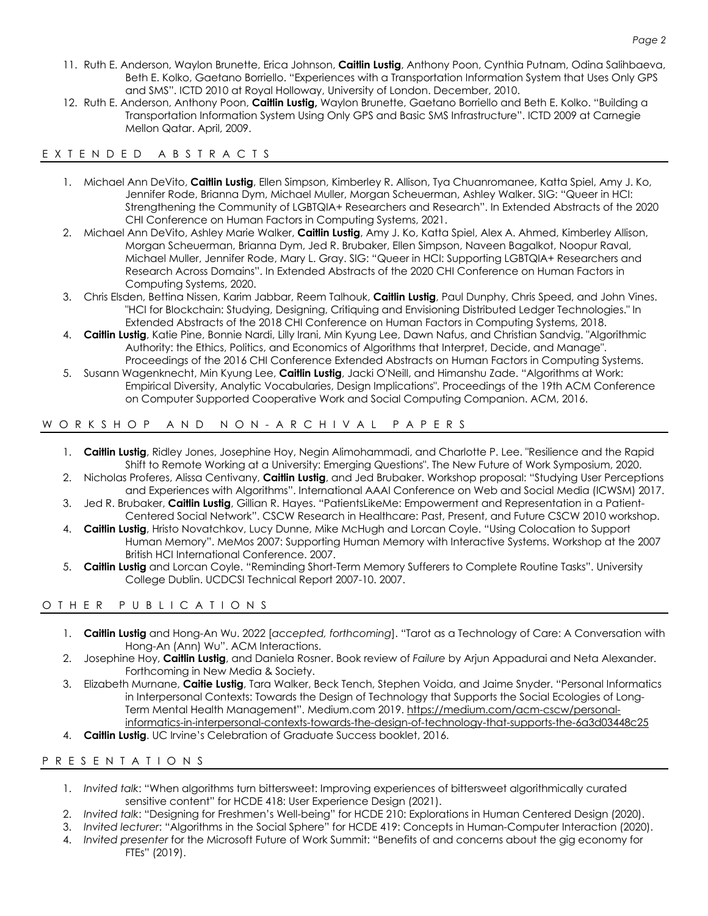- 11. Ruth E. Anderson, Waylon Brunette, Erica Johnson, **Caitlin Lustig**, Anthony Poon, Cynthia Putnam, Odina Salihbaeva, Beth E. Kolko, Gaetano Borriello. "Experiences with a Transportation Information System that Uses Only GPS and SMS". ICTD 2010 at Royal Holloway, University of London. December, 2010.
- 12. Ruth E. Anderson, Anthony Poon, **Caitlin Lustig,** Waylon Brunette, Gaetano Borriello and Beth E. Kolko. "Building a Transportation Information System Using Only GPS and Basic SMS Infrastructure". ICTD 2009 at Carnegie Mellon Qatar. April, 2009.

# E XTEN DED ABSTRACTS

- 1. Michael Ann DeVito, **Caitlin Lustig**, Ellen Simpson, Kimberley R. Allison, Tya Chuanromanee, Katta Spiel, Amy J. Ko, Jennifer Rode, Brianna Dym, Michael Muller, Morgan Scheuerman, Ashley Walker. SIG: "Queer in HCI: Strengthening the Community of LGBTQIA+ Researchers and Research". In Extended Abstracts of the 2020 CHI Conference on Human Factors in Computing Systems, 2021.
- 2. Michael Ann DeVito, Ashley Marie Walker, **Caitlin Lustig**, Amy J. Ko, Katta Spiel, Alex A. Ahmed, Kimberley Allison, Morgan Scheuerman, Brianna Dym, Jed R. Brubaker, Ellen Simpson, Naveen Bagalkot, Noopur Raval, Michael Muller, Jennifer Rode, Mary L. Gray. SIG: "Queer in HCI: Supporting LGBTQIA+ Researchers and Research Across Domains". In Extended Abstracts of the 2020 CHI Conference on Human Factors in Computing Systems, 2020.
- 3. Chris Elsden, Bettina Nissen, Karim Jabbar, Reem Talhouk, **Caitlin Lustig**, Paul Dunphy, Chris Speed, and John Vines. "HCI for Blockchain: Studying, Designing, Critiquing and Envisioning Distributed Ledger Technologies." In Extended Abstracts of the 2018 CHI Conference on Human Factors in Computing Systems, 2018.
- 4. **Caitlin Lustig**, Katie Pine, Bonnie Nardi, Lilly Irani, Min Kyung Lee, Dawn Nafus, and Christian Sandvig. "Algorithmic Authority: the Ethics, Politics, and Economics of Algorithms that Interpret, Decide, and Manage". Proceedings of the 2016 CHI Conference Extended Abstracts on Human Factors in Computing Systems.
- 5. Susann Wagenknecht, Min Kyung Lee, **Caitlin Lustig**, Jacki O'Neill, and Himanshu Zade. "Algorithms at Work: Empirical Diversity, Analytic Vocabularies, Design Implications". Proceedings of the 19th ACM Conference on Computer Supported Cooperative Work and Social Computing Companion. ACM, 2016.

# WORKSHOP AND NON - ARCHIVAL PAPERS

- 1. **Caitlin Lustig**, Ridley Jones, Josephine Hoy, Negin Alimohammadi, and Charlotte P. Lee. "Resilience and the Rapid Shift to Remote Working at a University: Emerging Questions". The New Future of Work Symposium, 2020.
- 2. Nicholas Proferes, Alissa Centivany, **Caitlin Lustig**, and Jed Brubaker. Workshop proposal: "Studying User Perceptions and Experiences with Algorithms". International AAAI Conference on Web and Social Media (ICWSM) 2017.
- 3. Jed R. Brubaker, **Caitlin Lustig**, Gillian R. Hayes. "PatientsLikeMe: Empowerment and Representation in a Patient-Centered Social Network". CSCW Research in Healthcare: Past, Present, and Future CSCW 2010 workshop.
- 4. **Caitlin Lustig**, Hristo Novatchkov, Lucy Dunne, Mike McHugh and Lorcan Coyle. "Using Colocation to Support Human Memory". MeMos 2007: Supporting Human Memory with Interactive Systems. Workshop at the 2007 British HCI International Conference. 2007.
- 5. **Caitlin Lustig** and Lorcan Coyle. "Reminding Short-Term Memory Sufferers to Complete Routine Tasks". University College Dublin. UCDCSI Technical Report 2007-10. 2007.

# OTHER PUBLICATIONS

- 1. **Caitlin Lustig** and Hong-An Wu. 2022 [*accepted, forthcoming*]. "Tarot as a Technology of Care: A Conversation with Hong-An (Ann) Wu". ACM Interactions.
- 2. Josephine Hoy, **Caitlin Lustig**, and Daniela Rosner. Book review of *Failure* by Arjun Appadurai and Neta Alexander. Forthcoming in New Media & Society.
- 3. Elizabeth Murnane, **Caitie Lustig**, Tara Walker, Beck Tench, Stephen Voida, and Jaime Snyder. "Personal Informatics in Interpersonal Contexts: Towards the Design of Technology that Supports the Social Ecologies of Long-Term Mental Health Management". Medium.com 2019. https://medium.com/acm-cscw/personalinformatics-in-interpersonal-contexts-towards-the-design-of-technology-that-supports-the-6a3d03448c25
- 4. **Caitlin Lustig**. UC Irvine's Celebration of Graduate Success booklet, 2016.

# PRESENTATIONS

- 1. *Invited talk*: "When algorithms turn bittersweet: Improving experiences of bittersweet algorithmically curated sensitive content" for HCDE 418: User Experience Design (2021).
- 2. *Invited talk*: "Designing for Freshmen's Well-being" for HCDE 210: Explorations in Human Centered Design (2020).
- 3. *Invited lecturer*: "Algorithms in the Social Sphere" for HCDE 419: Concepts in Human-Computer Interaction (2020).
- 4. *Invited presenter* for the Microsoft Future of Work Summit: "Benefits of and concerns about the gig economy for FTEs" (2019).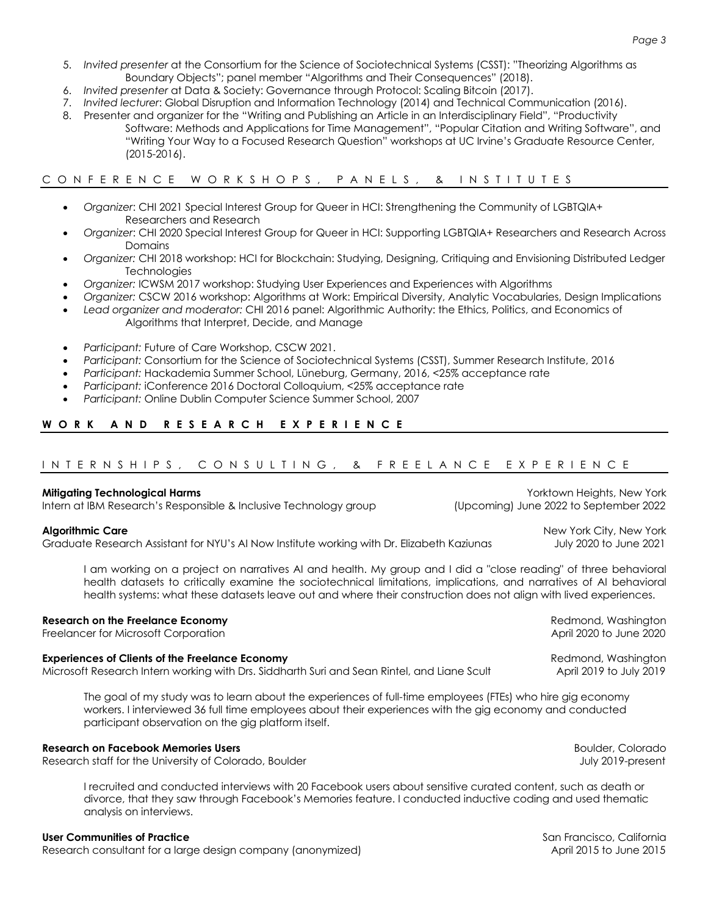- 5. *Invited presenter* at the Consortium for the Science of Sociotechnical Systems (CSST): "Theorizing Algorithms as Boundary Objects"; panel member "Algorithms and Their Consequences" (2018).
- 6. *Invited presenter* at Data & Society: Governance through Protocol: Scaling Bitcoin (2017).
- 7. *Invited lecturer*: Global Disruption and Information Technology (2014) and Technical Communication (2016).
- 8. Presenter and organizer for the "Writing and Publishing an Article in an Interdisciplinary Field", "Productivity Software: Methods and Applications for Time Management", "Popular Citation and Writing Software", and "Writing Your Way to a Focused Research Question" workshops at UC Irvine's Graduate Resource Center, (2015-2016).

# CONFERENCE WORKSHOPS, PANELS, & INSTITUTES

- *Organizer*: CHI 2021 Special Interest Group for Queer in HCI: Strengthening the Community of LGBTQIA+ Researchers and Research
- *Organizer*: CHI 2020 Special Interest Group for Queer in HCI: Supporting LGBTQIA+ Researchers and Research Across Domains
- *Organizer:* CHI 2018 workshop: HCI for Blockchain: Studying, Designing, Critiquing and Envisioning Distributed Ledger **Technologies**
- *Organizer:* ICWSM 2017 workshop: Studying User Experiences and Experiences with Algorithms
- *Organizer:* CSCW 2016 workshop: Algorithms at Work: Empirical Diversity, Analytic Vocabularies, Design Implications
- *Lead organizer and moderator:* CHI 2016 panel: Algorithmic Authority: the Ethics, Politics, and Economics of Algorithms that Interpret, Decide, and Manage
- *Participant:* Future of Care Workshop, CSCW 2021.
- *Participant:* Consortium for the Science of Sociotechnical Systems (CSST), Summer Research Institute, 2016
- *Participant:* Hackademia Summer School, Lüneburg, Germany, 2016, <25% acceptance rate
- *Participant:* iConference 2016 Doctoral Colloquium, <25% acceptance rate
- *Participant:* Online Dublin Computer Science Summer School, 2007

# **WORK AND RESEARCH EXPERIENCE**

# INTERNSHIPS, CONSULTING, & FREELANCE EXPERIENCE

### **Mitigating Technological Harms Mitigating Technological Harms Yorktown Heights, New York**

Intern at IBM Research's Responsible & Inclusive Technology group (Upcoming) June 2022 to September 2022

Graduate Research Assistant for NYU's AI Now Institute working with Dr. Elizabeth Kaziunas July 2020 to June 2021

I am working on a project on narratives AI and health. My group and I did a "close reading" of three behavioral health datasets to critically examine the sociotechnical limitations, implications, and narratives of AI behavioral health systems: what these datasets leave out and where their construction does not align with lived experiences.

### **Research on the Freelance Economy Redmond, Washington <b>Research on the Freelance Economy** Redmond, Washington

Freelancer for Microsoft Corporation and April 2020 to June 2020 to June 2020 to June 2020

### **Experiences of Clients of the Freelance Economy Redmond, Washington and Transformation** Redmond, Washington

Microsoft Research Intern working with Drs. Siddharth Suri and Sean Rintel, and Liane Scult April 2019 to July 2019

The goal of my study was to learn about the experiences of full-time employees (FTEs) who hire gig economy workers. I interviewed 36 full time employees about their experiences with the gig economy and conducted participant observation on the gig platform itself.

### **Research on Facebook Memories Users** Boulder, Colorado

Research staff for the University of Colorado, Boulder July 2019-present July 2019-present

I recruited and conducted interviews with 20 Facebook users about sensitive curated content, such as death or divorce, that they saw through Facebook's Memories feature. I conducted inductive coding and used thematic analysis on interviews.

#### **User Communities of Practice** San Francisco, California San Francisco, California San Francisco, California San Francisco, California San Francisco, California San Francisco, California San Francisco, California San Franc

Research consultant for a large design company (anonymized) and a pril 2015 to June 2015 to June 2015

**Algorithmic Care** New York City, New York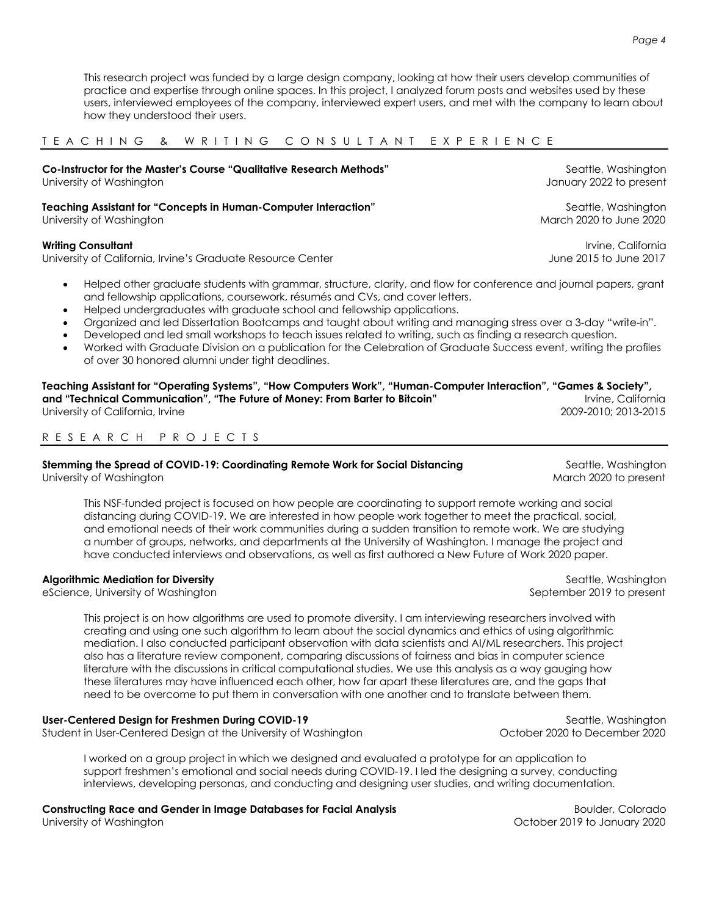This research project was funded by a large design company, looking at how their users develop communities of practice and expertise through online spaces. In this project, I analyzed forum posts and websites used by these users, interviewed employees of the company, interviewed expert users, and met with the company to learn about how they understood their users.

TEACHING & WRITING CONSULTANT EXPERIENCE

| Co-Instructor for the Master's Course "Qualitative Research Methods" | Seattle, Washington     |
|----------------------------------------------------------------------|-------------------------|
| University of Washington                                             | January 2022 to present |
| Teaching Assistant for "Concepts in Human-Computer Interaction"      | Seattle, Washington     |
| University of Washington                                             | March 2020 to June 2020 |
| <b>Writing Consultant</b>                                            | Irvine, California      |
| University of California, Irvine's Graduate Resource Center          | June 2015 to June 2017  |

- Helped other graduate students with grammar, structure, clarity, and flow for conference and journal papers, grant and fellowship applications, coursework, résumés and CVs, and cover letters.
- Helped undergraduates with graduate school and fellowship applications.
- Organized and led Dissertation Bootcamps and taught about writing and managing stress over a 3-day "write-in".
- Developed and led small workshops to teach issues related to writing, such as finding a research question.
- Worked with Graduate Division on a publication for the Celebration of Graduate Success event, writing the profiles of over 30 honored alumni under tight deadlines.

**Teaching Assistant for "Operating Systems", "How Computers Work", "Human-Computer Interaction", "Games & Society", and "Technical Communication", "The Future of Money: From Barter to Bitcoin" <b>Interpretity Constanting California** University of California, Irvine 2009-2010; 2013-2015

# R ESEARCH PRO J ECTS

#### **Stemming the Spread of COVID-19: Coordinating Remote Work for Social Distancing Seattle, Washington** University of Washington March 2020 to present March 2020 to present

This NSF-funded project is focused on how people are coordinating to support remote working and social distancing during COVID-19. We are interested in how people work together to meet the practical, social, and emotional needs of their work communities during a sudden transition to remote work. We are studying a number of groups, networks, and departments at the University of Washington. I manage the project and have conducted interviews and observations, as well as first authored a New Future of Work 2020 paper.

# **Algorithmic Mediation for Diversity** Seattle, Washington **Seattle, Washington**

eScience, University of Washington September 2019 to present

This project is on how algorithms are used to promote diversity. I am interviewing researchers involved with creating and using one such algorithm to learn about the social dynamics and ethics of using algorithmic mediation. I also conducted participant observation with data scientists and AI/ML researchers. This project also has a literature review component, comparing discussions of fairness and bias in computer science literature with the discussions in critical computational studies. We use this analysis as a way gauging how these literatures may have influenced each other, how far apart these literatures are, and the gaps that need to be overcome to put them in conversation with one another and to translate between them.

### **User-Centered Design for Freshmen During COVID-19** Seattle, Washington Seattle, Washington

Student in User-Centered Design at the University of Washington Changel Controller 2020 to December 2020

I worked on a group project in which we designed and evaluated a prototype for an application to support freshmen's emotional and social needs during COVID-19. I led the designing a survey, conducting interviews, developing personas, and conducting and designing user studies, and writing documentation.

**Constructing Race and Gender in Image Databases for Facial Analysis <b>Construction Coloration** Boulder, Colorado

University of Washington October 2019 to January 2020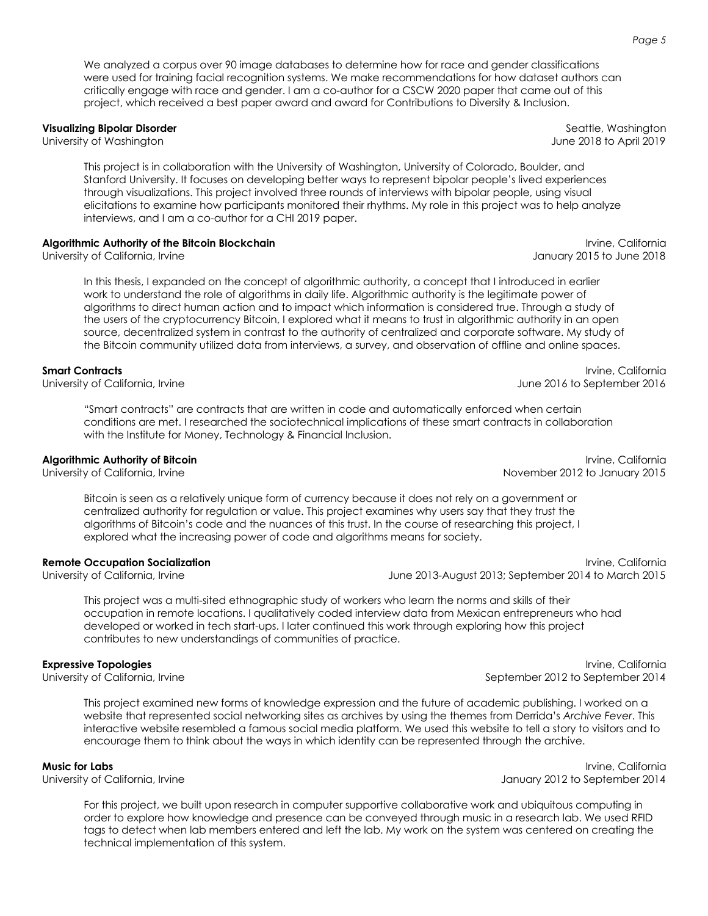We analyzed a corpus over 90 image databases to determine how for race and gender classifications were used for training facial recognition systems. We make recommendations for how dataset authors can critically engage with race and gender. I am a co-author for a CSCW 2020 paper that came out of this project, which received a best paper award and award for Contributions to Diversity & Inclusion.

**Visualizing Bipolar Disorder** Seattle, Washington **Contract Contract Contract Contract Contract Contract Contract Contract Contract Contract Contract Contract Contract Contract Contract Contract Contract Contract Contract** 

This project is in collaboration with the University of Washington, University of Colorado, Boulder, and Stanford University. It focuses on developing better ways to represent bipolar people's lived experiences through visualizations. This project involved three rounds of interviews with bipolar people, using visual elicitations to examine how participants monitored their rhythms. My role in this project was to help analyze interviews, and I am a co-author for a CHI 2019 paper.

### **Algorithmic Authority of the Bitcoin Blockchain International International Inc. California** Irvine, California

University of California, Irvine January 2015 to June 2018

In this thesis, I expanded on the concept of algorithmic authority, a concept that I introduced in earlier work to understand the role of algorithms in daily life. Algorithmic authority is the legitimate power of algorithms to direct human action and to impact which information is considered true. Through a study of the users of the cryptocurrency Bitcoin, I explored what it means to trust in algorithmic authority in an open source, decentralized system in contrast to the authority of centralized and corporate software. My study of the Bitcoin community utilized data from interviews, a survey, and observation of offline and online spaces.

"Smart contracts" are contracts that are written in code and automatically enforced when certain conditions are met. I researched the sociotechnical implications of these smart contracts in collaboration with the Institute for Money, Technology & Financial Inclusion.

Bitcoin is seen as a relatively unique form of currency because it does not rely on a government or centralized authority for regulation or value. This project examines why users say that they trust the algorithms of Bitcoin's code and the nuances of this trust. In the course of researching this project, I explored what the increasing power of code and algorithms means for society.

### **Remote Occupation Socialization** Irvine, California

University of California, Irvine June 2013-August 2013; September 2014 to March 2015

This project was a multi-sited ethnographic study of workers who learn the norms and skills of their occupation in remote locations. I qualitatively coded interview data from Mexican entrepreneurs who had developed or worked in tech start-ups. I later continued this work through exploring how this project contributes to new understandings of communities of practice.

This project examined new forms of knowledge expression and the future of academic publishing. I worked on a website that represented social networking sites as archives by using the themes from Derrida's *Archive Fever*. This interactive website resembled a famous social media platform. We used this website to tell a story to visitors and to encourage them to think about the ways in which identity can be represented through the archive.

### **Music for Labs** Irvine, California

University of California, Irvine January 2012 to September 2014

For this project, we built upon research in computer supportive collaborative work and ubiquitous computing in order to explore how knowledge and presence can be conveyed through music in a research lab. We used RFID tags to detect when lab members entered and left the lab. My work on the system was centered on creating the technical implementation of this system.

University of Washington June 2018 to April 2019

**Smart Contracts** Irvine, California **International Contracts** Irvine, California **International Contracts** Irvine, California University of California, Irvine June 2016 to September 2016

**Algorithmic Authority of Bitcoin International International Inc. Algorithmic Authority of Bitcoin** University of California, Irvine November 2012 to January 2015

**Expressive Topologies** Irvine, California University of California, Irvine September 2012 to September 2012 to September 2014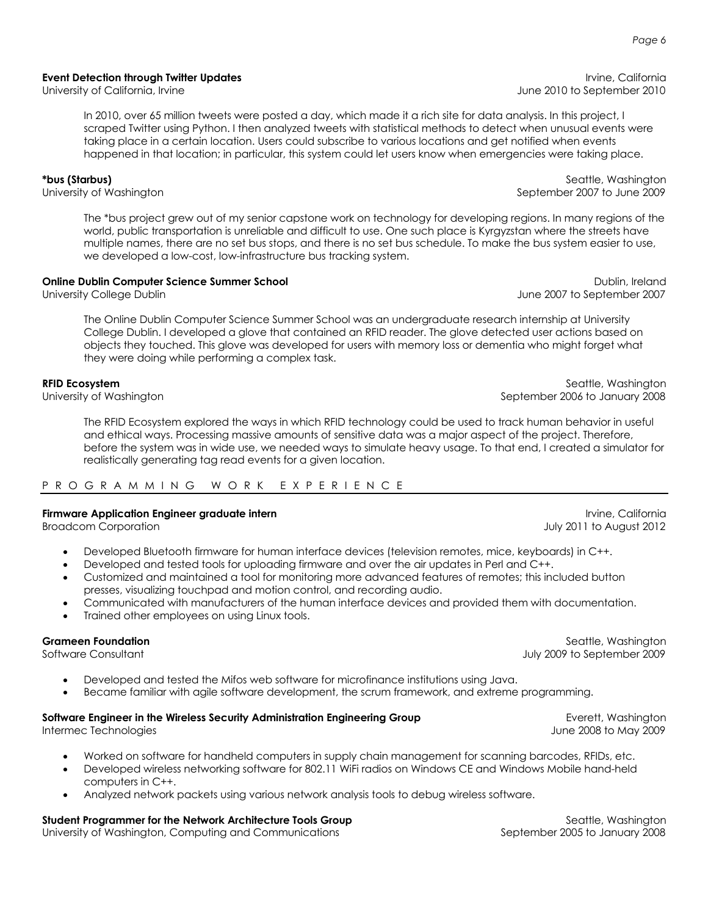**Event Detection through Twitter Updates And Science Inc. And Science Irvine, California** 

In 2010, over 65 million tweets were posted a day, which made it a rich site for data analysis. In this project, I scraped Twitter using Python. I then analyzed tweets with statistical methods to detect when unusual events were taking place in a certain location. Users could subscribe to various locations and get notified when events happened in that location; in particular, this system could let users know when emergencies were taking place.

**\*bus (Starbus)** Seattle, Washington

University of Washington September 2007 to June 2009

The \*bus project grew out of my senior capstone work on technology for developing regions. In many regions of the world, public transportation is unreliable and difficult to use. One such place is Kyrgyzstan where the streets have multiple names, there are no set bus stops, and there is no set bus schedule. To make the bus system easier to use, we developed a low-cost, low-infrastructure bus tracking system.

# **Online Dublin Computer Science Summer School** Dublin, Ireland

The Online Dublin Computer Science Summer School was an undergraduate research internship at University College Dublin. I developed a glove that contained an RFID reader. The glove detected user actions based on objects they touched. This glove was developed for users with memory loss or dementia who might forget what they were doing while performing a complex task.

### **RFID Ecosystem** Seattle, Washington **Seattle, Washington**

University of Washington September 2006 to January 2008

The RFID Ecosystem explored the ways in which RFID technology could be used to track human behavior in useful and ethical ways. Processing massive amounts of sensitive data was a major aspect of the project. Therefore, before the system was in wide use, we needed ways to simulate heavy usage. To that end, I created a simulator for realistically generating tag read events for a given location.

### P ROGRAMMING WORK E XPERIE N C E

### **Firmware Application Engineer graduate intern** International International International Irvine, California

Broadcom Corporation July 2011 to August 2012

- Developed Bluetooth firmware for human interface devices (television remotes, mice, keyboards) in C++.
	- Developed and tested tools for uploading firmware and over the air updates in Perl and C++.
- Customized and maintained a tool for monitoring more advanced features of remotes; this included button presses, visualizing touchpad and motion control, and recording audio.
- Communicated with manufacturers of the human interface devices and provided them with documentation.
- Trained other employees on using Linux tools.

- Developed and tested the Mifos web software for microfinance institutions using Java.
- Became familiar with agile software development, the scrum framework, and extreme programming.

# **Software Engineer in the Wireless Security Administration Engineering Group Example 2018** Everett, Washington

- Worked on software for handheld computers in supply chain management for scanning barcodes, RFIDs, etc.
- Developed wireless networking software for 802.11 WiFi radios on Windows CE and Windows Mobile hand-held computers in C++.
- Analyzed network packets using various network analysis tools to debug wireless software.

# **Student Programmer for the Network Architecture Tools Group** Seattle, Washington Seattle, Washington

University of Washington, Computing and Communications September 2005 to January 2008

University of California, Irvine **Value 2010** to September 2010 to September 2010

University College Dublin June 2007 to September 2007

**Grameen Foundation** Seattle, Washington **Grameen Foundation** Seattle, Washington Software Consultant July 2009 to September 2009

Intermec Technologies June 2008 to May 2009